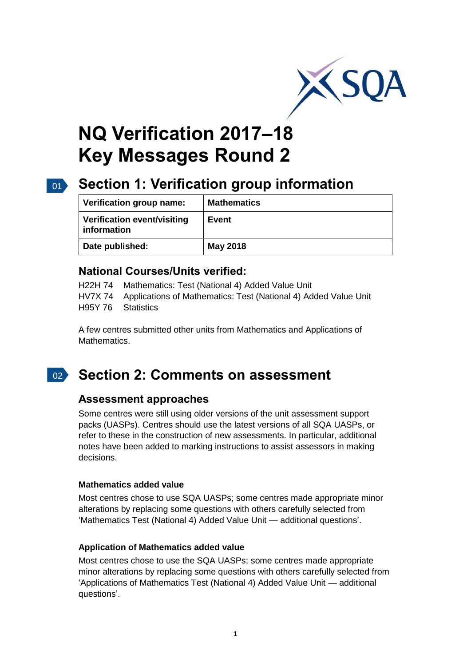

# **NQ Verification 2017–18 Key Messages Round 2**

## 01 **Section 1: Verification group information**

| Verification group name:                   | <b>Mathematics</b> |
|--------------------------------------------|--------------------|
| Verification event/visiting<br>information | Event              |
| Date published:                            | <b>May 2018</b>    |

## **National Courses/Units verified:**

H22H 74 Mathematics: Test (National 4) Added Value Unit HV7X 74 Applications of Mathematics: Test (National 4) Added Value Unit H95Y 76 Statistics

A few centres submitted other units from Mathematics and Applications of Mathematics.

#### $02<sup>2</sup>$ **Section 2: Comments on assessment**

## **Assessment approaches**

Some centres were still using older versions of the unit assessment support packs (UASPs). Centres should use the latest versions of all SQA UASPs, or refer to these in the construction of new assessments. In particular, additional notes have been added to marking instructions to assist assessors in making decisions.

#### **Mathematics added value**

Most centres chose to use SQA UASPs; some centres made appropriate minor alterations by replacing some questions with others carefully selected from 'Mathematics Test (National 4) Added Value Unit — additional questions'.

#### **Application of Mathematics added value**

Most centres chose to use the SQA UASPs; some centres made appropriate minor alterations by replacing some questions with others carefully selected from 'Applications of Mathematics Test (National 4) Added Value Unit — additional questions'.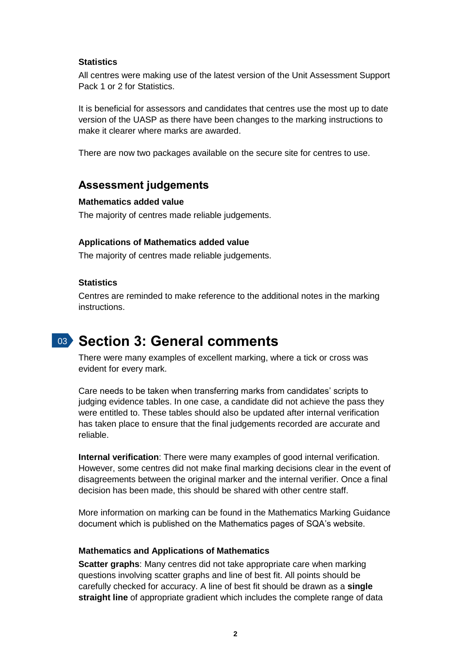#### **Statistics**

All centres were making use of the latest version of the Unit Assessment Support Pack 1 or 2 for Statistics.

It is beneficial for assessors and candidates that centres use the most up to date version of the UASP as there have been changes to the marking instructions to make it clearer where marks are awarded.

There are now two packages available on the secure site for centres to use.

### **Assessment judgements**

#### **Mathematics added value**

The majority of centres made reliable judgements.

#### **Applications of Mathematics added value**

The majority of centres made reliable judgements.

#### **Statistics**

Centres are reminded to make reference to the additional notes in the marking instructions.

## 03 **Section 3: General comments**

There were many examples of excellent marking, where a tick or cross was evident for every mark.

Care needs to be taken when transferring marks from candidates' scripts to judging evidence tables. In one case, a candidate did not achieve the pass they were entitled to. These tables should also be updated after internal verification has taken place to ensure that the final judgements recorded are accurate and reliable.

**Internal verification**: There were many examples of good internal verification. However, some centres did not make final marking decisions clear in the event of disagreements between the original marker and the internal verifier. Once a final decision has been made, this should be shared with other centre staff.

More information on marking can be found in the Mathematics Marking Guidance document which is published on the Mathematics pages of SQA's website.

#### **Mathematics and Applications of Mathematics**

**Scatter graphs**: Many centres did not take appropriate care when marking questions involving scatter graphs and line of best fit. All points should be carefully checked for accuracy. A line of best fit should be drawn as a **single straight line** of appropriate gradient which includes the complete range of data